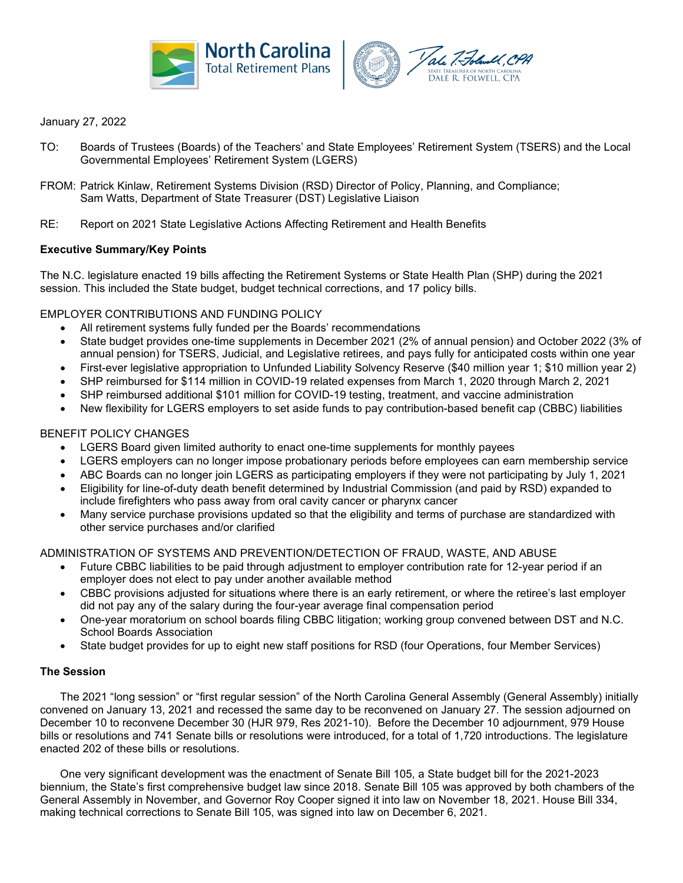



## January 27, 2022

- TO: Boards of Trustees (Boards) of the Teachers' and State Employees' Retirement System (TSERS) and the Local Governmental Employees' Retirement System (LGERS)
- FROM: Patrick Kinlaw, Retirement Systems Division (RSD) Director of Policy, Planning, and Compliance; Sam Watts, Department of State Treasurer (DST) Legislative Liaison
- RE: Report on 2021 State Legislative Actions Affecting Retirement and Health Benefits

#### **Executive Summary/Key Points**

The N.C. legislature enacted 19 bills affecting the Retirement Systems or State Health Plan (SHP) during the 2021 session. This included the State budget, budget technical corrections, and 17 policy bills.

#### EMPLOYER CONTRIBUTIONS AND FUNDING POLICY

- All retirement systems fully funded per the Boards' recommendations
- State budget provides one-time supplements in December 2021 (2% of annual pension) and October 2022 (3% of annual pension) for TSERS, Judicial, and Legislative retirees, and pays fully for anticipated costs within one year
- First-ever legislative appropriation to Unfunded Liability Solvency Reserve (\$40 million year 1; \$10 million year 2)
- SHP reimbursed for \$114 million in COVID-19 related expenses from March 1, 2020 through March 2, 2021
- SHP reimbursed additional \$101 million for COVID-19 testing, treatment, and vaccine administration
- New flexibility for LGERS employers to set aside funds to pay contribution-based benefit cap (CBBC) liabilities

#### BENEFIT POLICY CHANGES

- LGERS Board given limited authority to enact one-time supplements for monthly payees
- LGERS employers can no longer impose probationary periods before employees can earn membership service
- ABC Boards can no longer join LGERS as participating employers if they were not participating by July 1, 2021
- Eligibility for line-of-duty death benefit determined by Industrial Commission (and paid by RSD) expanded to include firefighters who pass away from oral cavity cancer or pharynx cancer
- Many service purchase provisions updated so that the eligibility and terms of purchase are standardized with other service purchases and/or clarified

#### ADMINISTRATION OF SYSTEMS AND PREVENTION/DETECTION OF FRAUD, WASTE, AND ABUSE

- Future CBBC liabilities to be paid through adjustment to employer contribution rate for 12-year period if an employer does not elect to pay under another available method
- CBBC provisions adjusted for situations where there is an early retirement, or where the retiree's last employer did not pay any of the salary during the four-year average final compensation period
- One-year moratorium on school boards filing CBBC litigation; working group convened between DST and N.C. School Boards Association
- State budget provides for up to eight new staff positions for RSD (four Operations, four Member Services)

## **The Session**

The 2021 "long session" or "first regular session" of the North Carolina General Assembly (General Assembly) initially convened on January 13, 2021 and recessed the same day to be reconvened on January 27. The session adjourned on December 10 to reconvene December 30 (HJR 979, Res 2021-10). Before the December 10 adjournment, 979 House bills or resolutions and 741 Senate bills or resolutions were introduced, for a total of 1,720 introductions. The legislature enacted 202 of these bills or resolutions.

One very significant development was the enactment of Senate Bill 105, a State budget bill for the 2021-2023 biennium, the State's first comprehensive budget law since 2018. Senate Bill 105 was approved by both chambers of the General Assembly in November, and Governor Roy Cooper signed it into law on November 18, 2021. House Bill 334, making technical corrections to Senate Bill 105, was signed into law on December 6, 2021.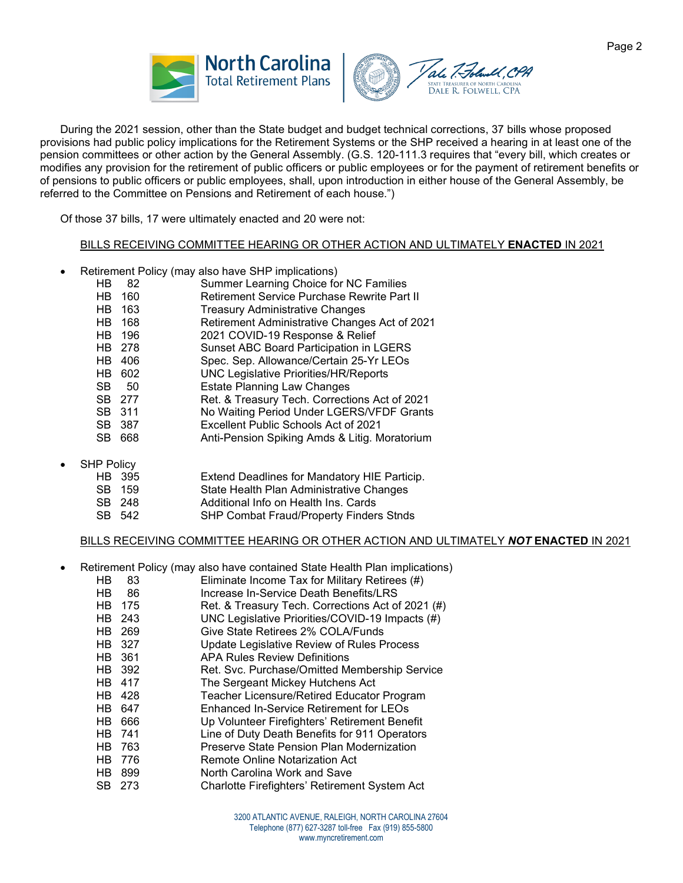



During the 2021 session, other than the State budget and budget technical corrections, 37 bills whose proposed provisions had public policy implications for the Retirement Systems or the SHP received a hearing in at least one of the pension committees or other action by the General Assembly. (G.S. 120-111.3 requires that "every bill, which creates or modifies any provision for the retirement of public officers or public employees or for the payment of retirement benefits or of pensions to public officers or public employees, shall, upon introduction in either house of the General Assembly, be referred to the Committee on Pensions and Retirement of each house.")

Of those 37 bills, 17 were ultimately enacted and 20 were not:

#### BILLS RECEIVING COMMITTEE HEARING OR OTHER ACTION AND ULTIMATELY **ENACTED** IN 2021

- Retirement Policy (may also have SHP implications)
	- Summer Learning Choice for NC Families
	- HB 160 Retirement Service Purchase Rewrite Part II
	- HB 163 Treasury Administrative Changes<br>
	HB 168 Retirement Administrative Change
	- Retirement Administrative Changes Act of 2021
	- HB 196 2021 COVID-19 Response & Relief
	- HB 278 Sunset ABC Board Participation in LGERS
	- HB 406 Spec. Sep. Allowance/Certain 25-Yr LEOs
	- HB 602 UNC Legislative Priorities/HR/Reports
	- SB 50 Estate Planning Law Changes<br>SB 277 Ret. & Treasury Tech. Correcti
	- SB 277 Ret. & Treasury Tech. Corrections Act of 2021<br>SB 311 No Waiting Period Under LGERS/VFDF Grants
	- No Waiting Period Under LGERS/VFDF Grants
	- SB 387 Excellent Public Schools Act of 2021<br>SB 668 Anti-Pension Spiking Amds & Litig. M
	- Anti-Pension Spiking Amds & Litig. Moratorium
- SHP Policy<br>HB 395
	- HB 395 Extend Deadlines for Mandatory HIE Particip.<br>SB 159 State Health Plan Administrative Changes
	- State Health Plan Administrative Changes
	- SB 248 Additional Info on Health Ins. Cards<br>SB 542 SHP Combat Fraud/Property Finder
		- SHP Combat Fraud/Property Finders Stnds

## BILLS RECEIVING COMMITTEE HEARING OR OTHER ACTION AND ULTIMATELY *NOT* **ENACTED** IN 2021

- Retirement Policy (may also have contained State Health Plan implications)
	- HB 83 Eliminate Income Tax for Military Retirees (#) HB 86 Increase In-Service Death Benefits/LRS<br>HB 175 Ret. & Treasury Tech. Corrections Act o Ret. & Treasury Tech. Corrections Act of 2021 (#) HB 243 UNC Legislative Priorities/COVID-19 Impacts (#)<br>HB 269 Give State Retirees 2% COLA/Funds Give State Retirees 2% COLA/Funds HB 327 Update Legislative Review of Rules Process HB 361 APA Rules Review Definitions HB 392 Ret. Svc. Purchase/Omitted Membership Service<br>
	HB 417 The Sergeant Mickey Hutchens Act The Sergeant Mickey Hutchens Act HB 428 Teacher Licensure/Retired Educator Program HB 647 Enhanced In-Service Retirement for LEOs HB 666 Up Volunteer Firefighters' Retirement Benefit HB 741 Line of Duty Death Benefits for 911 Operators HB 763 Preserve State Pension Plan Modernization<br>
	HB 776 Remote Online Notarization Act Remote Online Notarization Act
	- HB 899 North Carolina Work and Save
	- SB 273 Charlotte Firefighters' Retirement System Act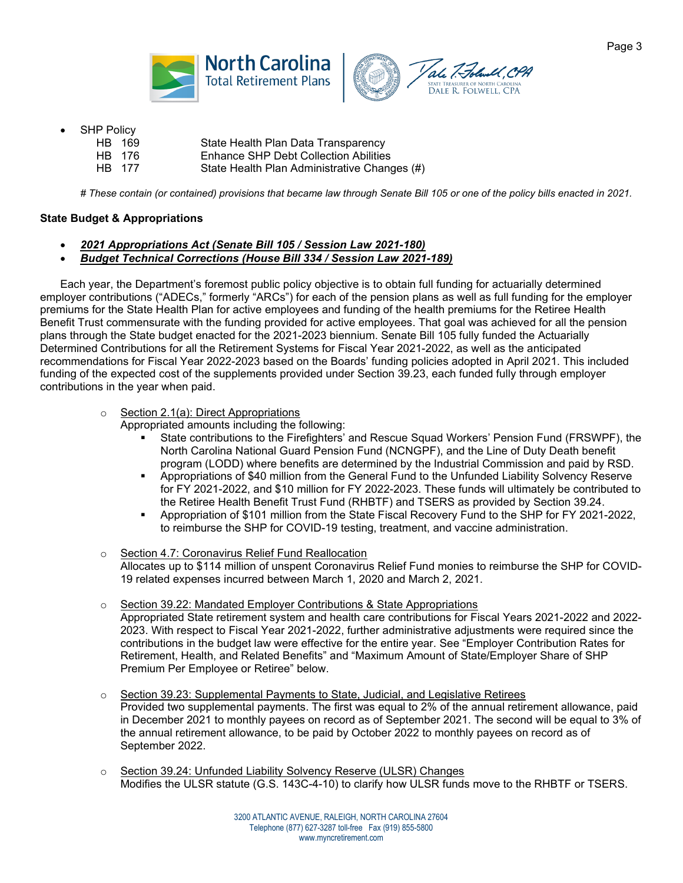



- **SHP Policy** 
	- HB 169 State Health Plan Data Transparency HB 176 Enhance SHP Debt Collection Abilities
	- HB 177 State Health Plan Administrative Changes (#)

# These contain (or contained) provisions that became law through Senate Bill 105 or one of the policy bills enacted in 2021.

## **State Budget & Appropriations**

- *2021 Appropriations Act (Senate Bill 105 / Session Law 2021-180)*
- *Budget Technical Corrections (House Bill 334 / Session Law 2021-189)*

Each year, the Department's foremost public policy objective is to obtain full funding for actuarially determined employer contributions ("ADECs," formerly "ARCs") for each of the pension plans as well as full funding for the employer premiums for the State Health Plan for active employees and funding of the health premiums for the Retiree Health Benefit Trust commensurate with the funding provided for active employees. That goal was achieved for all the pension plans through the State budget enacted for the 2021-2023 biennium. Senate Bill 105 fully funded the Actuarially Determined Contributions for all the Retirement Systems for Fiscal Year 2021-2022, as well as the anticipated recommendations for Fiscal Year 2022-2023 based on the Boards' funding policies adopted in April 2021. This included funding of the expected cost of the supplements provided under Section 39.23, each funded fully through employer contributions in the year when paid.

## o Section 2.1(a): Direct Appropriations

Appropriated amounts including the following:

- State contributions to the Firefighters' and Rescue Squad Workers' Pension Fund (FRSWPF), the North Carolina National Guard Pension Fund (NCNGPF), and the Line of Duty Death benefit program (LODD) where benefits are determined by the Industrial Commission and paid by RSD.
- Appropriations of \$40 million from the General Fund to the Unfunded Liability Solvency Reserve for FY 2021-2022, and \$10 million for FY 2022-2023. These funds will ultimately be contributed to the Retiree Health Benefit Trust Fund (RHBTF) and TSERS as provided by Section 39.24.
- Appropriation of \$101 million from the State Fiscal Recovery Fund to the SHP for FY 2021-2022, to reimburse the SHP for COVID-19 testing, treatment, and vaccine administration.
- o Section 4.7: Coronavirus Relief Fund Reallocation Allocates up to \$114 million of unspent Coronavirus Relief Fund monies to reimburse the SHP for COVID-19 related expenses incurred between March 1, 2020 and March 2, 2021.
- o Section 39.22: Mandated Employer Contributions & State Appropriations Appropriated State retirement system and health care contributions for Fiscal Years 2021-2022 and 2022- 2023. With respect to Fiscal Year 2021-2022, further administrative adjustments were required since the contributions in the budget law were effective for the entire year. See "Employer Contribution Rates for Retirement, Health, and Related Benefits" and "Maximum Amount of State/Employer Share of SHP Premium Per Employee or Retiree" below.
- o Section 39.23: Supplemental Payments to State, Judicial, and Legislative Retirees Provided two supplemental payments. The first was equal to 2% of the annual retirement allowance, paid in December 2021 to monthly payees on record as of September 2021. The second will be equal to 3% of the annual retirement allowance, to be paid by October 2022 to monthly payees on record as of September 2022.
- o Section 39.24: Unfunded Liability Solvency Reserve (ULSR) Changes Modifies the ULSR statute (G.S. 143C-4-10) to clarify how ULSR funds move to the RHBTF or TSERS.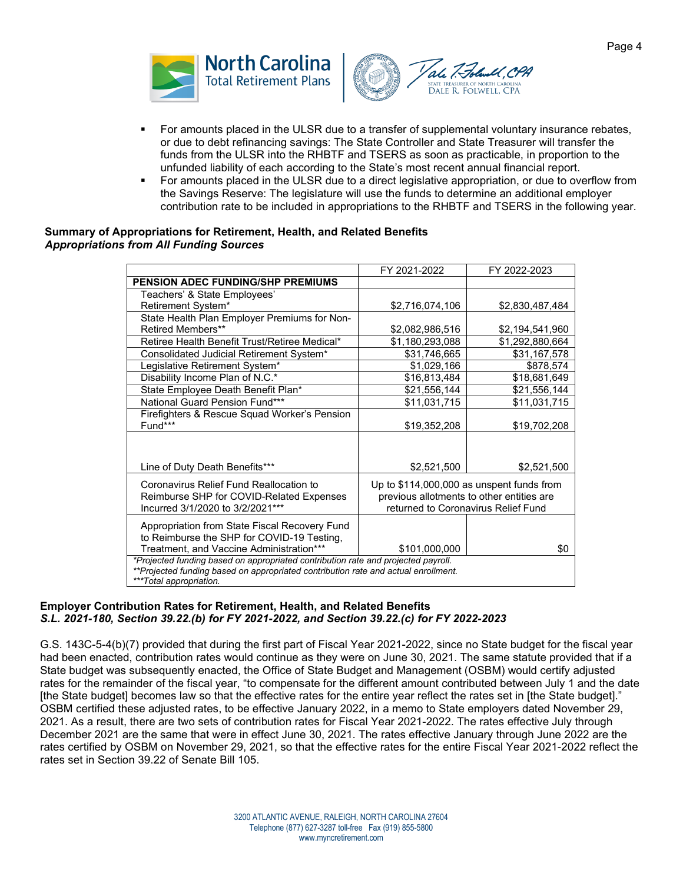



- For amounts placed in the ULSR due to a transfer of supplemental voluntary insurance rebates, or due to debt refinancing savings: The State Controller and State Treasurer will transfer the funds from the ULSR into the RHBTF and TSERS as soon as practicable, in proportion to the unfunded liability of each according to the State's most recent annual financial report.
- For amounts placed in the ULSR due to a direct legislative appropriation, or due to overflow from the Savings Reserve: The legislature will use the funds to determine an additional employer contribution rate to be included in appropriations to the RHBTF and TSERS in the following year.

#### **Summary of Appropriations for Retirement, Health, and Related Benefits**  *Appropriations from All Funding Sources*

| FY 2021-2022                                                                                                                                                            | FY 2022-2023                                                |  |  |  |  |  |
|-------------------------------------------------------------------------------------------------------------------------------------------------------------------------|-------------------------------------------------------------|--|--|--|--|--|
|                                                                                                                                                                         |                                                             |  |  |  |  |  |
|                                                                                                                                                                         |                                                             |  |  |  |  |  |
| \$2,716,074,106                                                                                                                                                         | \$2,830,487,484                                             |  |  |  |  |  |
|                                                                                                                                                                         |                                                             |  |  |  |  |  |
| \$2,082,986,516                                                                                                                                                         | \$2,194,541,960                                             |  |  |  |  |  |
| \$1,180,293,088                                                                                                                                                         | \$1,292,880,664                                             |  |  |  |  |  |
| \$31,746,665                                                                                                                                                            | \$31,167,578                                                |  |  |  |  |  |
| \$1,029,166                                                                                                                                                             | \$878,574                                                   |  |  |  |  |  |
| \$16,813,484                                                                                                                                                            | \$18,681,649                                                |  |  |  |  |  |
| \$21,556,144                                                                                                                                                            | \$21,556,144                                                |  |  |  |  |  |
| \$11,031,715                                                                                                                                                            | \$11,031,715                                                |  |  |  |  |  |
|                                                                                                                                                                         |                                                             |  |  |  |  |  |
| \$19,352,208                                                                                                                                                            | \$19,702,208                                                |  |  |  |  |  |
|                                                                                                                                                                         |                                                             |  |  |  |  |  |
| \$2,521,500                                                                                                                                                             | \$2,521,500                                                 |  |  |  |  |  |
|                                                                                                                                                                         |                                                             |  |  |  |  |  |
| previous allotments to other entities are                                                                                                                               |                                                             |  |  |  |  |  |
| returned to Coronavirus Relief Fund                                                                                                                                     |                                                             |  |  |  |  |  |
|                                                                                                                                                                         |                                                             |  |  |  |  |  |
|                                                                                                                                                                         |                                                             |  |  |  |  |  |
|                                                                                                                                                                         | \$0                                                         |  |  |  |  |  |
| Treatment, and Vaccine Administration***                                                                                                                                |                                                             |  |  |  |  |  |
| *Projected funding based on appropriated contribution rate and projected payroll.<br>**Projected funding based on appropriated contribution rate and actual enrollment. |                                                             |  |  |  |  |  |
|                                                                                                                                                                         |                                                             |  |  |  |  |  |
|                                                                                                                                                                         | Up to $$114,000,000$ as unspent funds from<br>\$101,000,000 |  |  |  |  |  |

#### **Employer Contribution Rates for Retirement, Health, and Related Benefits** *S.L. 2021-180, Section 39.22.(b) for FY 2021-2022, and Section 39.22.(c) for FY 2022-2023*

G.S. 143C-5-4(b)(7) provided that during the first part of Fiscal Year 2021-2022, since no State budget for the fiscal year had been enacted, contribution rates would continue as they were on June 30, 2021. The same statute provided that if a State budget was subsequently enacted, the Office of State Budget and Management (OSBM) would certify adjusted rates for the remainder of the fiscal year, "to compensate for the different amount contributed between July 1 and the date [the State budget] becomes law so that the effective rates for the entire year reflect the rates set in [the State budget]." OSBM certified these adjusted rates, to be effective January 2022, in a memo to State employers dated November 29, 2021. As a result, there are two sets of contribution rates for Fiscal Year 2021-2022. The rates effective July through December 2021 are the same that were in effect June 30, 2021. The rates effective January through June 2022 are the rates certified by OSBM on November 29, 2021, so that the effective rates for the entire Fiscal Year 2021-2022 reflect the rates set in Section 39.22 of Senate Bill 105.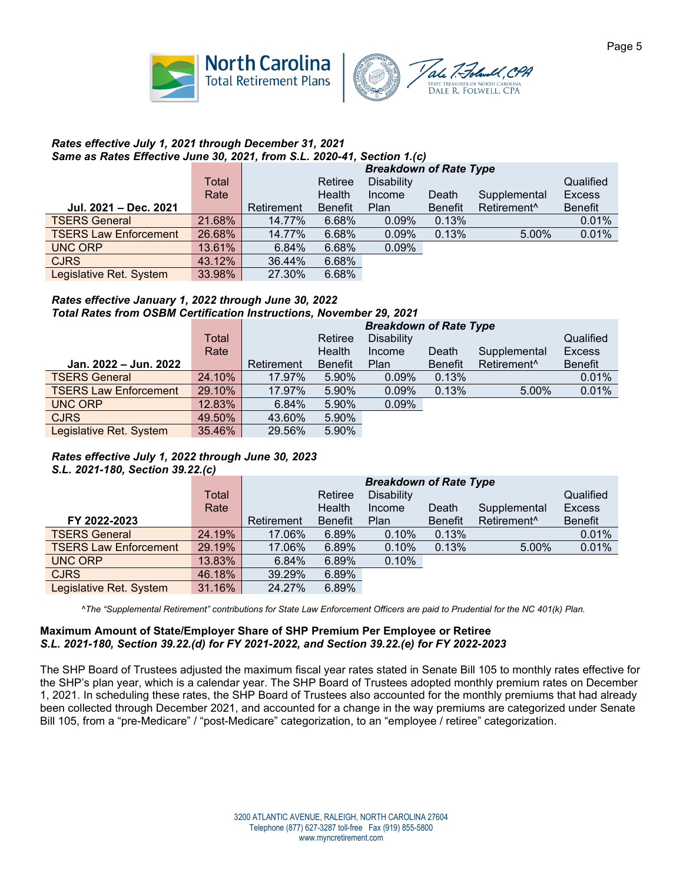



#### *Rates effective July 1, 2021 through December 31, 2021 Same as Rates Effective June 30, 2021, from S.L. 2020-41, Section 1.(c)*

|                              |        | <b>Breakdown of Rate Type</b> |                |                   |                |                         |               |  |
|------------------------------|--------|-------------------------------|----------------|-------------------|----------------|-------------------------|---------------|--|
|                              | Total  |                               | Retiree        | <b>Disability</b> |                |                         | Qualified     |  |
|                              | Rate   |                               | Health         | Income            | Death          | Supplemental            | <b>Excess</b> |  |
| Jul. 2021 - Dec. 2021        |        | Retirement                    | <b>Benefit</b> | <b>Plan</b>       | <b>Benefit</b> | Retirement <sup>^</sup> | Benefit       |  |
| <b>TSERS General</b>         | 21.68% | 14.77%                        | 6.68%          | $0.09\%$          | 0.13%          |                         | 0.01%         |  |
| <b>TSERS Law Enforcement</b> | 26.68% | 14.77%                        | 6.68%          | 0.09%             | 0.13%          | 5.00%                   | 0.01%         |  |
| <b>UNC ORP</b>               | 13.61% | 6.84%                         | 6.68%          | 0.09%             |                |                         |               |  |
| <b>CJRS</b>                  | 43.12% | 36.44%                        | 6.68%          |                   |                |                         |               |  |
| Legislative Ret. System      | 33.98% | 27.30%                        | 6.68%          |                   |                |                         |               |  |

## *Rates effective January 1, 2022 through June 30, 2022 Total Rates from OSBM Certification Instructions, November 29, 2021*

|                              |        | <b>Breakdown of Rate Type</b> |                |                   |                |                         |               |  |
|------------------------------|--------|-------------------------------|----------------|-------------------|----------------|-------------------------|---------------|--|
|                              | Total  |                               | Retiree        | <b>Disability</b> |                |                         | Qualified     |  |
|                              | Rate   |                               | Health         | Income            | Death          | Supplemental            | <b>Excess</b> |  |
| Jan. 2022 – Jun. 2022        |        | Retirement                    | <b>Benefit</b> | Plan              | <b>Benefit</b> | Retirement <sup>^</sup> | Benefit       |  |
| <b>TSERS General</b>         | 24.10% | 17.97%                        | 5.90%          | 0.09%             | 0.13%          |                         | 0.01%         |  |
| <b>TSERS Law Enforcement</b> | 29.10% | 17.97%                        | 5.90%          | 0.09%             | 0.13%          | 5.00%                   | 0.01%         |  |
| <b>UNC ORP</b>               | 12.83% | 6.84%                         | 5.90%          | 0.09%             |                |                         |               |  |
| <b>CJRS</b>                  | 49.50% | 43.60%                        | 5.90%          |                   |                |                         |               |  |
| Legislative Ret. System      | 35.46% | 29.56%                        | 5.90%          |                   |                |                         |               |  |

#### *Rates effective July 1, 2022 through June 30, 2023 S.L. 2021-180, Section 39.22.(c)*

|                              | Total<br>Rate |            | Qualified<br><b>Excess</b> |             |                |                                         |                |
|------------------------------|---------------|------------|----------------------------|-------------|----------------|-----------------------------------------|----------------|
| FY 2022-2023                 |               | Retirement | <b>Benefit</b>             | <b>Plan</b> | <b>Benefit</b> | Supplemental<br>Retirement <sup>^</sup> | <b>Benefit</b> |
| <b>TSERS General</b>         | 24.19%        | 17.06%     | 6.89%                      | 0.10%       | 0.13%          |                                         | 0.01%          |
| <b>TSERS Law Enforcement</b> | 29.19%        | 17.06%     | 6.89%                      | 0.10%       | 0.13%          | 5.00%                                   | 0.01%          |
| <b>UNC ORP</b>               | 13.83%        | 6.84%      | 6.89%                      | 0.10%       |                |                                         |                |
| <b>CJRS</b>                  | 46.18%        | 39.29%     | 6.89%                      |             |                |                                         |                |
| Legislative Ret. System      | 31.16%        | 24.27%     | 6.89%                      |             |                |                                         |                |

 *^The "Supplemental Retirement" contributions for State Law Enforcement Officers are paid to Prudential for the NC 401(k) Plan.*

#### **Maximum Amount of State/Employer Share of SHP Premium Per Employee or Retiree** *S.L. 2021-180, Section 39.22.(d) for FY 2021-2022, and Section 39.22.(e) for FY 2022-2023*

The SHP Board of Trustees adjusted the maximum fiscal year rates stated in Senate Bill 105 to monthly rates effective for the SHP's plan year, which is a calendar year. The SHP Board of Trustees adopted monthly premium rates on December 1, 2021. In scheduling these rates, the SHP Board of Trustees also accounted for the monthly premiums that had already been collected through December 2021, and accounted for a change in the way premiums are categorized under Senate Bill 105, from a "pre-Medicare" / "post-Medicare" categorization, to an "employee / retiree" categorization.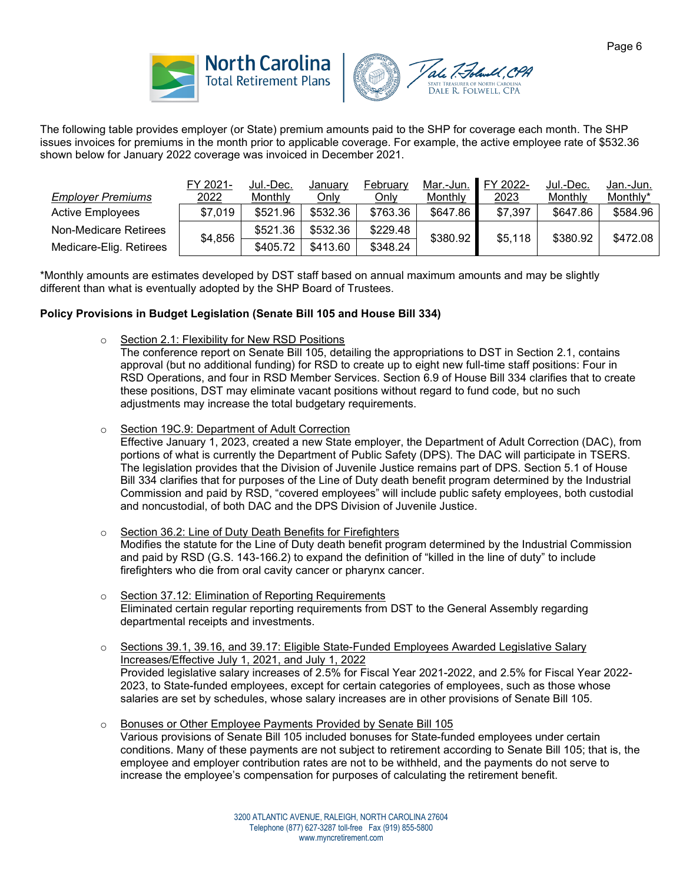





The following table provides employer (or State) premium amounts paid to the SHP for coverage each month. The SHP issues invoices for premiums in the month prior to applicable coverage. For example, the active employee rate of \$532.36 shown below for January 2022 coverage was invoiced in December 2021.

|                          | FY 2021- | Jul.-Dec. | Januarv  | February | Mar.-Jun. | FY 2022-     | Jul.-Dec. | Jan.-Jun. |
|--------------------------|----------|-----------|----------|----------|-----------|--------------|-----------|-----------|
| <b>Employer Premiums</b> | 2022     | Monthly   | Only     | Only     | Monthly   | <u> 2023</u> | Monthly   | Monthly*  |
| <b>Active Employees</b>  | \$7,019  | \$521.96  | \$532.36 | \$763.36 | \$647.86  | \$7,397      | \$647.86  | \$584.96  |
| Non-Medicare Retirees    | \$4,856  | \$521.36  | \$532.36 | \$229.48 | \$380.92  | \$5,118      | \$380.92  | \$472.08  |
| Medicare-Elig. Retirees  |          | \$405.72  | \$413.60 | \$348.24 |           |              |           |           |

\*Monthly amounts are estimates developed by DST staff based on annual maximum amounts and may be slightly different than what is eventually adopted by the SHP Board of Trustees.

## **Policy Provisions in Budget Legislation (Senate Bill 105 and House Bill 334)**

o Section 2.1: Flexibility for New RSD Positions

The conference report on Senate Bill 105, detailing the appropriations to DST in Section 2.1, contains approval (but no additional funding) for RSD to create up to eight new full-time staff positions: Four in RSD Operations, and four in RSD Member Services. Section 6.9 of House Bill 334 clarifies that to create these positions, DST may eliminate vacant positions without regard to fund code, but no such adjustments may increase the total budgetary requirements.

o Section 19C.9: Department of Adult Correction

Effective January 1, 2023, created a new State employer, the Department of Adult Correction (DAC), from portions of what is currently the Department of Public Safety (DPS). The DAC will participate in TSERS. The legislation provides that the Division of Juvenile Justice remains part of DPS. Section 5.1 of House Bill 334 clarifies that for purposes of the Line of Duty death benefit program determined by the Industrial Commission and paid by RSD, "covered employees" will include public safety employees, both custodial and noncustodial, of both DAC and the DPS Division of Juvenile Justice.

- Section 36.2: Line of Duty Death Benefits for Firefighters Modifies the statute for the Line of Duty death benefit program determined by the Industrial Commission and paid by RSD (G.S. 143-166.2) to expand the definition of "killed in the line of duty" to include firefighters who die from oral cavity cancer or pharynx cancer.
- o Section 37.12: Elimination of Reporting Requirements Eliminated certain regular reporting requirements from DST to the General Assembly regarding departmental receipts and investments.
- o Sections 39.1, 39.16, and 39.17: Eligible State-Funded Employees Awarded Legislative Salary Increases/Effective July 1, 2021, and July 1, 2022 Provided legislative salary increases of 2.5% for Fiscal Year 2021-2022, and 2.5% for Fiscal Year 2022- 2023, to State-funded employees, except for certain categories of employees, such as those whose salaries are set by schedules, whose salary increases are in other provisions of Senate Bill 105.
- o Bonuses or Other Employee Payments Provided by Senate Bill 105 Various provisions of Senate Bill 105 included bonuses for State-funded employees under certain conditions. Many of these payments are not subject to retirement according to Senate Bill 105; that is, the employee and employer contribution rates are not to be withheld, and the payments do not serve to increase the employee's compensation for purposes of calculating the retirement benefit.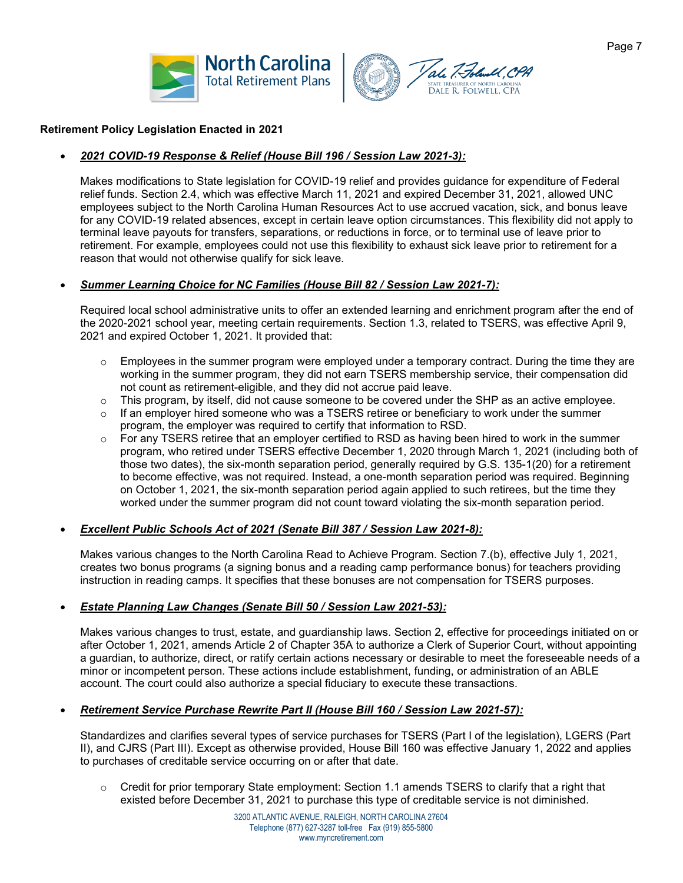



## **Retirement Policy Legislation Enacted in 2021**

# • *2021 COVID-19 Response & Relief (House Bill 196 / Session Law 2021-3):*

Makes modifications to State legislation for COVID-19 relief and provides guidance for expenditure of Federal relief funds. Section 2.4, which was effective March 11, 2021 and expired December 31, 2021, allowed UNC employees subject to the North Carolina Human Resources Act to use accrued vacation, sick, and bonus leave for any COVID-19 related absences, except in certain leave option circumstances. This flexibility did not apply to terminal leave payouts for transfers, separations, or reductions in force, or to terminal use of leave prior to retirement. For example, employees could not use this flexibility to exhaust sick leave prior to retirement for a reason that would not otherwise qualify for sick leave.

## • *Summer Learning Choice for NC Families (House Bill 82 / Session Law 2021-7):*

Required local school administrative units to offer an extended learning and enrichment program after the end of the 2020-2021 school year, meeting certain requirements. Section 1.3, related to TSERS, was effective April 9, 2021 and expired October 1, 2021. It provided that:

- $\circ$  Employees in the summer program were employed under a temporary contract. During the time they are working in the summer program, they did not earn TSERS membership service, their compensation did not count as retirement-eligible, and they did not accrue paid leave.
- $\circ$  This program, by itself, did not cause someone to be covered under the SHP as an active employee.
- $\circ$  If an employer hired someone who was a TSERS retiree or beneficiary to work under the summer program, the employer was required to certify that information to RSD.
- o For any TSERS retiree that an employer certified to RSD as having been hired to work in the summer program, who retired under TSERS effective December 1, 2020 through March 1, 2021 (including both of those two dates), the six-month separation period, generally required by G.S. 135-1(20) for a retirement to become effective, was not required. Instead, a one-month separation period was required. Beginning on October 1, 2021, the six-month separation period again applied to such retirees, but the time they worked under the summer program did not count toward violating the six-month separation period.

#### • *Excellent Public Schools Act of 2021 (Senate Bill 387 / Session Law 2021-8):*

Makes various changes to the North Carolina Read to Achieve Program. Section 7.(b), effective July 1, 2021, creates two bonus programs (a signing bonus and a reading camp performance bonus) for teachers providing instruction in reading camps. It specifies that these bonuses are not compensation for TSERS purposes.

## • *Estate Planning Law Changes (Senate Bill 50 / Session Law 2021-53):*

Makes various changes to trust, estate, and guardianship laws. Section 2, effective for proceedings initiated on or after October 1, 2021, amends Article 2 of Chapter 35A to authorize a Clerk of Superior Court, without appointing a guardian, to authorize, direct, or ratify certain actions necessary or desirable to meet the foreseeable needs of a minor or incompetent person. These actions include establishment, funding, or administration of an ABLE account. The court could also authorize a special fiduciary to execute these transactions.

#### • *Retirement Service Purchase Rewrite Part II (House Bill 160 / Session Law 2021-57):*

Standardizes and clarifies several types of service purchases for TSERS (Part I of the legislation), LGERS (Part II), and CJRS (Part III). Except as otherwise provided, House Bill 160 was effective January 1, 2022 and applies to purchases of creditable service occurring on or after that date.

 $\circ$  Credit for prior temporary State employment: Section 1.1 amends TSERS to clarify that a right that existed before December 31, 2021 to purchase this type of creditable service is not diminished.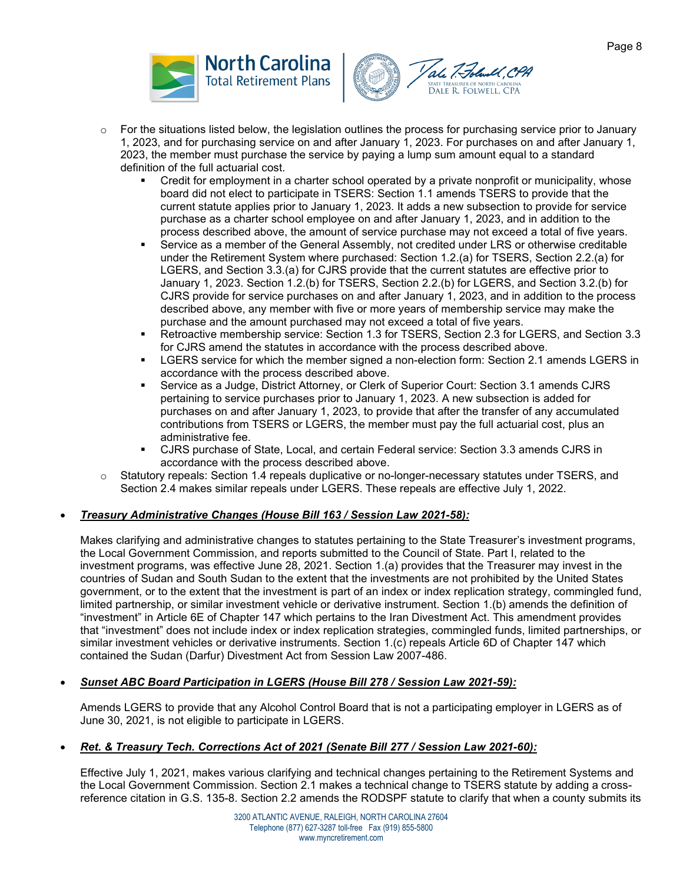



- $\circ$  For the situations listed below, the legislation outlines the process for purchasing service prior to January 1, 2023, and for purchasing service on and after January 1, 2023. For purchases on and after January 1, 2023, the member must purchase the service by paying a lump sum amount equal to a standard definition of the full actuarial cost.
	- Credit for employment in a charter school operated by a private nonprofit or municipality, whose board did not elect to participate in TSERS: Section 1.1 amends TSERS to provide that the current statute applies prior to January 1, 2023. It adds a new subsection to provide for service purchase as a charter school employee on and after January 1, 2023, and in addition to the process described above, the amount of service purchase may not exceed a total of five years.
	- Service as a member of the General Assembly, not credited under LRS or otherwise creditable under the Retirement System where purchased: Section 1.2.(a) for TSERS, Section 2.2.(a) for LGERS, and Section 3.3.(a) for CJRS provide that the current statutes are effective prior to January 1, 2023. Section 1.2.(b) for TSERS, Section 2.2.(b) for LGERS, and Section 3.2.(b) for CJRS provide for service purchases on and after January 1, 2023, and in addition to the process described above, any member with five or more years of membership service may make the purchase and the amount purchased may not exceed a total of five years.
	- Retroactive membership service: Section 1.3 for TSERS, Section 2.3 for LGERS, and Section 3.3 for CJRS amend the statutes in accordance with the process described above.
	- LGERS service for which the member signed a non-election form: Section 2.1 amends LGERS in accordance with the process described above.
	- Service as a Judge, District Attorney, or Clerk of Superior Court: Section 3.1 amends CJRS pertaining to service purchases prior to January 1, 2023. A new subsection is added for purchases on and after January 1, 2023, to provide that after the transfer of any accumulated contributions from TSERS or LGERS, the member must pay the full actuarial cost, plus an administrative fee.
	- CJRS purchase of State, Local, and certain Federal service: Section 3.3 amends CJRS in accordance with the process described above.
- o Statutory repeals: Section 1.4 repeals duplicative or no-longer-necessary statutes under TSERS, and Section 2.4 makes similar repeals under LGERS. These repeals are effective July 1, 2022.

# • *Treasury Administrative Changes (House Bill 163 / Session Law 2021-58):*

Makes clarifying and administrative changes to statutes pertaining to the State Treasurer's investment programs, the Local Government Commission, and reports submitted to the Council of State. Part I, related to the investment programs, was effective June 28, 2021. Section 1.(a) provides that the Treasurer may invest in the countries of Sudan and South Sudan to the extent that the investments are not prohibited by the United States government, or to the extent that the investment is part of an index or index replication strategy, commingled fund, limited partnership, or similar investment vehicle or derivative instrument. Section 1.(b) amends the definition of "investment" in Article 6E of Chapter 147 which pertains to the Iran Divestment Act. This amendment provides that "investment" does not include index or index replication strategies, commingled funds, limited partnerships, or similar investment vehicles or derivative instruments. Section 1.(c) repeals Article 6D of Chapter 147 which contained the Sudan (Darfur) Divestment Act from Session Law 2007-486.

## • *Sunset ABC Board Participation in LGERS (House Bill 278 / Session Law 2021-59):*

Amends LGERS to provide that any Alcohol Control Board that is not a participating employer in LGERS as of June 30, 2021, is not eligible to participate in LGERS.

## • *Ret. & Treasury Tech. Corrections Act of 2021 (Senate Bill 277 / Session Law 2021-60):*

Effective July 1, 2021, makes various clarifying and technical changes pertaining to the Retirement Systems and the Local Government Commission. Section 2.1 makes a technical change to TSERS statute by adding a crossreference citation in G.S. 135-8. Section 2.2 amends the RODSPF statute to clarify that when a county submits its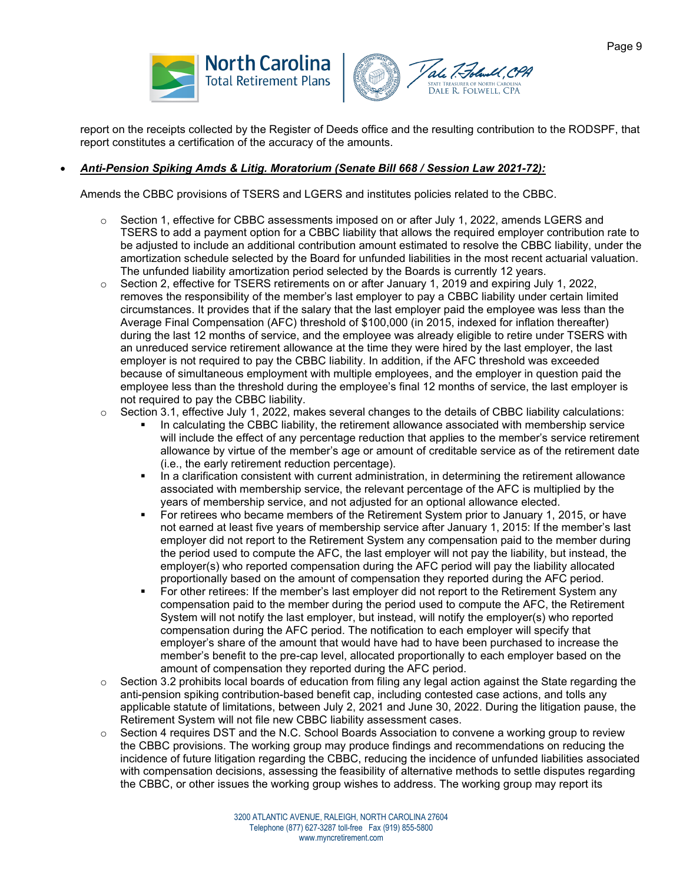



report on the receipts collected by the Register of Deeds office and the resulting contribution to the RODSPF, that report constitutes a certification of the accuracy of the amounts.

# • *Anti-Pension Spiking Amds & Litig. Moratorium (Senate Bill 668 / Session Law 2021-72):*

Amends the CBBC provisions of TSERS and LGERS and institutes policies related to the CBBC.

- $\circ$  Section 1, effective for CBBC assessments imposed on or after July 1, 2022, amends LGERS and TSERS to add a payment option for a CBBC liability that allows the required employer contribution rate to be adjusted to include an additional contribution amount estimated to resolve the CBBC liability, under the amortization schedule selected by the Board for unfunded liabilities in the most recent actuarial valuation. The unfunded liability amortization period selected by the Boards is currently 12 years.
- $\circ$  Section 2, effective for TSERS retirements on or after January 1, 2019 and expiring July 1, 2022, removes the responsibility of the member's last employer to pay a CBBC liability under certain limited circumstances. It provides that if the salary that the last employer paid the employee was less than the Average Final Compensation (AFC) threshold of \$100,000 (in 2015, indexed for inflation thereafter) during the last 12 months of service, and the employee was already eligible to retire under TSERS with an unreduced service retirement allowance at the time they were hired by the last employer, the last employer is not required to pay the CBBC liability. In addition, if the AFC threshold was exceeded because of simultaneous employment with multiple employees, and the employer in question paid the employee less than the threshold during the employee's final 12 months of service, the last employer is not required to pay the CBBC liability.
- $\circ$  Section 3.1, effective July 1, 2022, makes several changes to the details of CBBC liability calculations:
	- In calculating the CBBC liability, the retirement allowance associated with membership service will include the effect of any percentage reduction that applies to the member's service retirement allowance by virtue of the member's age or amount of creditable service as of the retirement date (i.e., the early retirement reduction percentage).
	- **IF** In a clarification consistent with current administration, in determining the retirement allowance associated with membership service, the relevant percentage of the AFC is multiplied by the years of membership service, and not adjusted for an optional allowance elected.
	- For retirees who became members of the Retirement System prior to January 1, 2015, or have not earned at least five years of membership service after January 1, 2015: If the member's last employer did not report to the Retirement System any compensation paid to the member during the period used to compute the AFC, the last employer will not pay the liability, but instead, the employer(s) who reported compensation during the AFC period will pay the liability allocated proportionally based on the amount of compensation they reported during the AFC period.
	- For other retirees: If the member's last employer did not report to the Retirement System any compensation paid to the member during the period used to compute the AFC, the Retirement System will not notify the last employer, but instead, will notify the employer(s) who reported compensation during the AFC period. The notification to each employer will specify that employer's share of the amount that would have had to have been purchased to increase the member's benefit to the pre-cap level, allocated proportionally to each employer based on the amount of compensation they reported during the AFC period.
- $\circ$  Section 3.2 prohibits local boards of education from filing any legal action against the State regarding the anti-pension spiking contribution-based benefit cap, including contested case actions, and tolls any applicable statute of limitations, between July 2, 2021 and June 30, 2022. During the litigation pause, the Retirement System will not file new CBBC liability assessment cases.
- $\circ$  Section 4 requires DST and the N.C. School Boards Association to convene a working group to review the CBBC provisions. The working group may produce findings and recommendations on reducing the incidence of future litigation regarding the CBBC, reducing the incidence of unfunded liabilities associated with compensation decisions, assessing the feasibility of alternative methods to settle disputes regarding the CBBC, or other issues the working group wishes to address. The working group may report its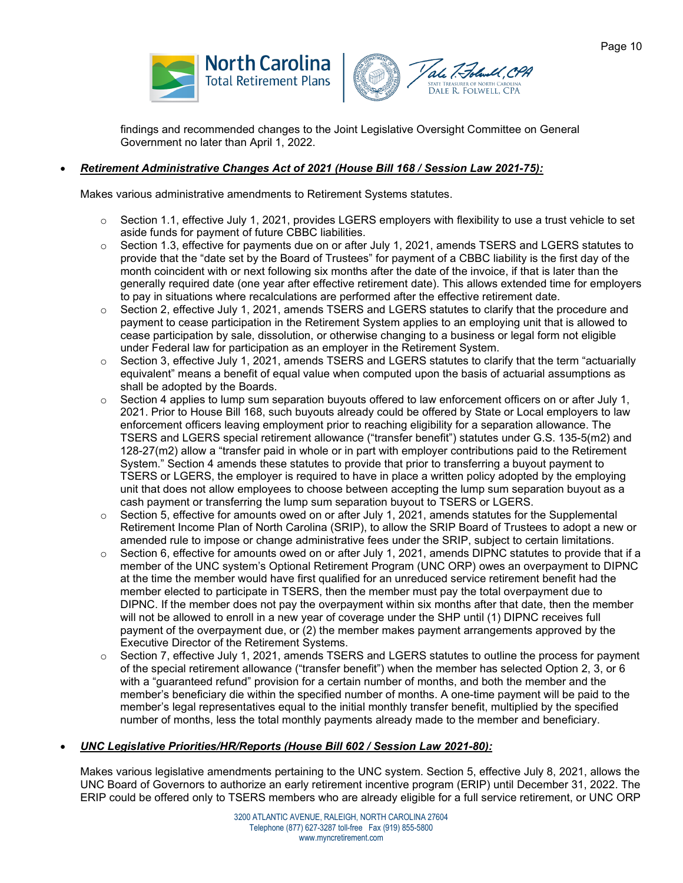



findings and recommended changes to the Joint Legislative Oversight Committee on General Government no later than April 1, 2022.

# • *Retirement Administrative Changes Act of 2021 (House Bill 168 / Session Law 2021-75):*

Makes various administrative amendments to Retirement Systems statutes.

- $\circ$  Section 1.1, effective July 1, 2021, provides LGERS employers with flexibility to use a trust vehicle to set aside funds for payment of future CBBC liabilities.
- $\circ$  Section 1.3, effective for payments due on or after July 1, 2021, amends TSERS and LGERS statutes to provide that the "date set by the Board of Trustees" for payment of a CBBC liability is the first day of the month coincident with or next following six months after the date of the invoice, if that is later than the generally required date (one year after effective retirement date). This allows extended time for employers to pay in situations where recalculations are performed after the effective retirement date.
- $\circ$  Section 2, effective July 1, 2021, amends TSERS and LGERS statutes to clarify that the procedure and payment to cease participation in the Retirement System applies to an employing unit that is allowed to cease participation by sale, dissolution, or otherwise changing to a business or legal form not eligible under Federal law for participation as an employer in the Retirement System.
- o Section 3, effective July 1, 2021, amends TSERS and LGERS statutes to clarify that the term "actuarially equivalent" means a benefit of equal value when computed upon the basis of actuarial assumptions as shall be adopted by the Boards.
- $\circ$  Section 4 applies to lump sum separation buyouts offered to law enforcement officers on or after July 1, 2021. Prior to House Bill 168, such buyouts already could be offered by State or Local employers to law enforcement officers leaving employment prior to reaching eligibility for a separation allowance. The TSERS and LGERS special retirement allowance ("transfer benefit") statutes under G.S. 135-5(m2) and 128-27(m2) allow a "transfer paid in whole or in part with employer contributions paid to the Retirement System." Section 4 amends these statutes to provide that prior to transferring a buyout payment to TSERS or LGERS, the employer is required to have in place a written policy adopted by the employing unit that does not allow employees to choose between accepting the lump sum separation buyout as a cash payment or transferring the lump sum separation buyout to TSERS or LGERS.
- $\circ$  Section 5, effective for amounts owed on or after July 1, 2021, amends statutes for the Supplemental Retirement Income Plan of North Carolina (SRIP), to allow the SRIP Board of Trustees to adopt a new or amended rule to impose or change administrative fees under the SRIP, subject to certain limitations.
- $\circ$  Section 6, effective for amounts owed on or after July 1, 2021, amends DIPNC statutes to provide that if a member of the UNC system's Optional Retirement Program (UNC ORP) owes an overpayment to DIPNC at the time the member would have first qualified for an unreduced service retirement benefit had the member elected to participate in TSERS, then the member must pay the total overpayment due to DIPNC. If the member does not pay the overpayment within six months after that date, then the member will not be allowed to enroll in a new year of coverage under the SHP until (1) DIPNC receives full payment of the overpayment due, or (2) the member makes payment arrangements approved by the Executive Director of the Retirement Systems.
- $\circ$  Section 7, effective July 1, 2021, amends TSERS and LGERS statutes to outline the process for payment of the special retirement allowance ("transfer benefit") when the member has selected Option 2, 3, or 6 with a "guaranteed refund" provision for a certain number of months, and both the member and the member's beneficiary die within the specified number of months. A one-time payment will be paid to the member's legal representatives equal to the initial monthly transfer benefit, multiplied by the specified number of months, less the total monthly payments already made to the member and beneficiary.

## • *UNC Legislative Priorities/HR/Reports (House Bill 602 / Session Law 2021-80):*

Makes various legislative amendments pertaining to the UNC system. Section 5, effective July 8, 2021, allows the UNC Board of Governors to authorize an early retirement incentive program (ERIP) until December 31, 2022. The ERIP could be offered only to TSERS members who are already eligible for a full service retirement, or UNC ORP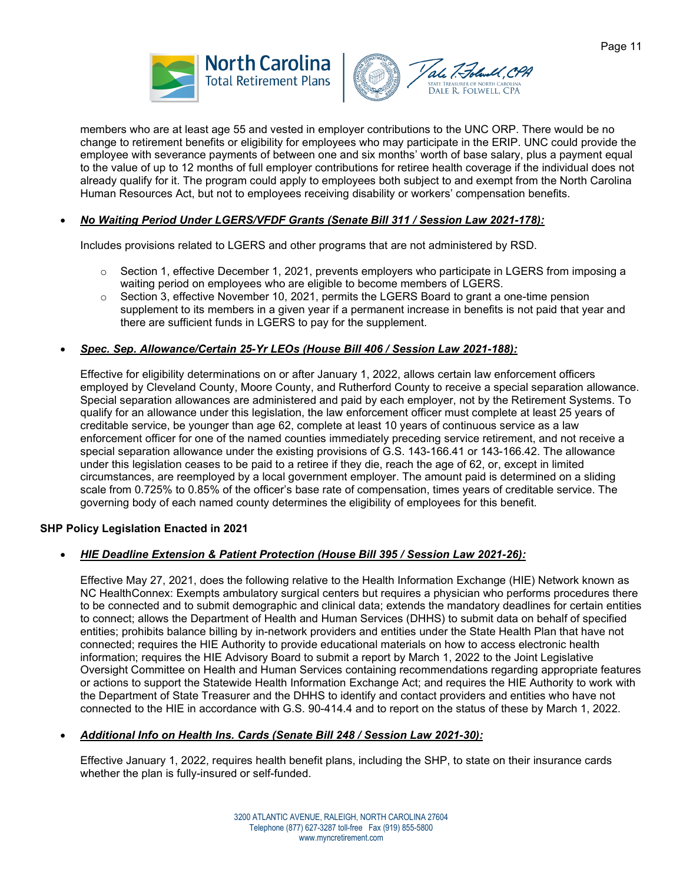



members who are at least age 55 and vested in employer contributions to the UNC ORP. There would be no change to retirement benefits or eligibility for employees who may participate in the ERIP. UNC could provide the employee with severance payments of between one and six months' worth of base salary, plus a payment equal to the value of up to 12 months of full employer contributions for retiree health coverage if the individual does not already qualify for it. The program could apply to employees both subject to and exempt from the North Carolina Human Resources Act, but not to employees receiving disability or workers' compensation benefits.

## • *No Waiting Period Under LGERS/VFDF Grants (Senate Bill 311 / Session Law 2021-178):*

Includes provisions related to LGERS and other programs that are not administered by RSD.

- $\circ$  Section 1, effective December 1, 2021, prevents employers who participate in LGERS from imposing a waiting period on employees who are eligible to become members of LGERS.
- $\circ$  Section 3, effective November 10, 2021, permits the LGERS Board to grant a one-time pension supplement to its members in a given year if a permanent increase in benefits is not paid that year and there are sufficient funds in LGERS to pay for the supplement.

#### • *Spec. Sep. Allowance/Certain 25-Yr LEOs (House Bill 406 / Session Law 2021-188):*

Effective for eligibility determinations on or after January 1, 2022, allows certain law enforcement officers employed by Cleveland County, Moore County, and Rutherford County to receive a special separation allowance. Special separation allowances are administered and paid by each employer, not by the Retirement Systems. To qualify for an allowance under this legislation, the law enforcement officer must complete at least 25 years of creditable service, be younger than age 62, complete at least 10 years of continuous service as a law enforcement officer for one of the named counties immediately preceding service retirement, and not receive a special separation allowance under the existing provisions of G.S. 143-166.41 or 143-166.42. The allowance under this legislation ceases to be paid to a retiree if they die, reach the age of 62, or, except in limited circumstances, are reemployed by a local government employer. The amount paid is determined on a sliding scale from 0.725% to 0.85% of the officer's base rate of compensation, times years of creditable service. The governing body of each named county determines the eligibility of employees for this benefit.

#### **SHP Policy Legislation Enacted in 2021**

#### • *HIE Deadline Extension & Patient Protection (House Bill 395 / Session Law 2021-26):*

Effective May 27, 2021, does the following relative to the Health Information Exchange (HIE) Network known as NC HealthConnex: Exempts ambulatory surgical centers but requires a physician who performs procedures there to be connected and to submit demographic and clinical data; extends the mandatory deadlines for certain entities to connect; allows the Department of Health and Human Services (DHHS) to submit data on behalf of specified entities; prohibits balance billing by in-network providers and entities under the State Health Plan that have not connected; requires the HIE Authority to provide educational materials on how to access electronic health information; requires the HIE Advisory Board to submit a report by March 1, 2022 to the Joint Legislative Oversight Committee on Health and Human Services containing recommendations regarding appropriate features or actions to support the Statewide Health Information Exchange Act; and requires the HIE Authority to work with the Department of State Treasurer and the DHHS to identify and contact providers and entities who have not connected to the HIE in accordance with G.S. 90-414.4 and to report on the status of these by March 1, 2022.

#### • *Additional Info on Health Ins. Cards (Senate Bill 248 / Session Law 2021-30):*

Effective January 1, 2022, requires health benefit plans, including the SHP, to state on their insurance cards whether the plan is fully-insured or self-funded.